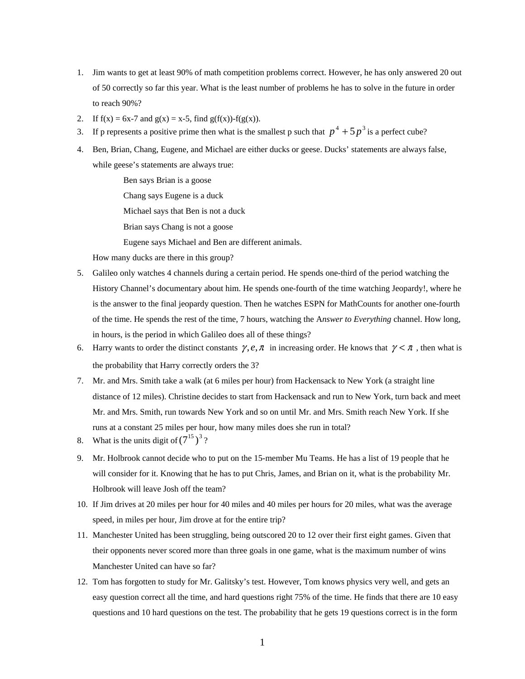- 1. Jim wants to get at least 90% of math competition problems correct. However, he has only answered 20 out of 50 correctly so far this year. What is the least number of problems he has to solve in the future in order to reach 90%?
- 2. If  $f(x) = 6x-7$  and  $g(x) = x-5$ , find  $g(f(x)) f(g(x))$ .
- 3. If p represents a positive prime then what is the smallest p such that  $p^4 + 5p^3$  is a perfect cube?
- 4. Ben, Brian, Chang, Eugene, and Michael are either ducks or geese. Ducks' statements are always false, while geese's statements are always true:

Ben says Brian is a goose Chang says Eugene is a duck Michael says that Ben is not a duck Brian says Chang is not a goose Eugene says Michael and Ben are different animals.

How many ducks are there in this group?

- 5. Galileo only watches 4 channels during a certain period. He spends one-third of the period watching the History Channel's documentary about him. He spends one-fourth of the time watching Jeopardy!, where he is the answer to the final jeopardy question. Then he watches ESPN for MathCounts for another one-fourth of the time. He spends the rest of the time, 7 hours, watching the A*nswer to Everything* channel. How long, in hours, is the period in which Galileo does all of these things?
- 6. Harry wants to order the distinct constants  $\gamma, e, \pi$  in increasing order. He knows that  $\gamma < \pi$ , then what is the probability that Harry correctly orders the 3?
- 7. Mr. and Mrs. Smith take a walk (at 6 miles per hour) from Hackensack to New York (a straight line distance of 12 miles). Christine decides to start from Hackensack and run to New York, turn back and meet Mr. and Mrs. Smith, run towards New York and so on until Mr. and Mrs. Smith reach New York. If she runs at a constant 25 miles per hour, how many miles does she run in total?
- 8. What is the units digit of  $(7^{15})^3$ ?
- 9. Mr. Holbrook cannot decide who to put on the 15-member Mu Teams. He has a list of 19 people that he will consider for it. Knowing that he has to put Chris, James, and Brian on it, what is the probability Mr. Holbrook will leave Josh off the team?
- 10. If Jim drives at 20 miles per hour for 40 miles and 40 miles per hours for 20 miles, what was the average speed, in miles per hour, Jim drove at for the entire trip?
- 11. Manchester United has been struggling, being outscored 20 to 12 over their first eight games. Given that their opponents never scored more than three goals in one game, what is the maximum number of wins Manchester United can have so far?
- 12. Tom has forgotten to study for Mr. Galitsky's test. However, Tom knows physics very well, and gets an easy question correct all the time, and hard questions right 75% of the time. He finds that there are 10 easy questions and 10 hard questions on the test. The probability that he gets 19 questions correct is in the form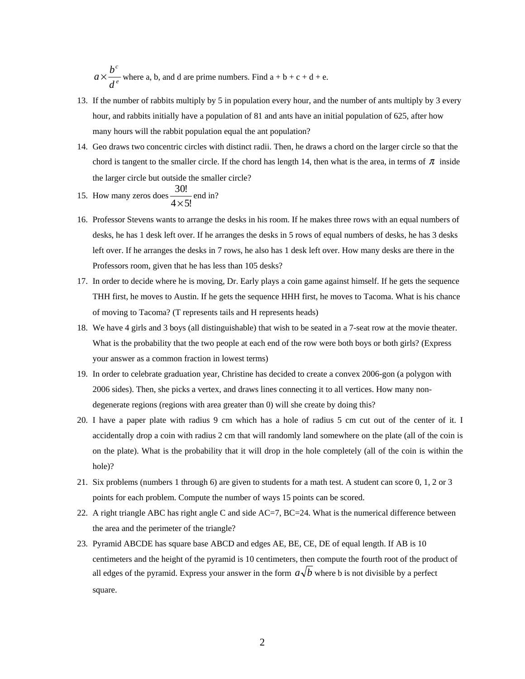*e c d*  $a \times \frac{b^c}{a}$  where a, b, and d are prime numbers. Find  $a + b + c + d + e$ .

- 13. If the number of rabbits multiply by 5 in population every hour, and the number of ants multiply by 3 every hour, and rabbits initially have a population of 81 and ants have an initial population of 625, after how many hours will the rabbit population equal the ant population?
- 14. Geo draws two concentric circles with distinct radii. Then, he draws a chord on the larger circle so that the chord is tangent to the smaller circle. If the chord has length 14, then what is the area, in terms of  $\pi$  inside the larger circle but outside the smaller circle?

15. How many zeros does 
$$
\frac{30!}{4 \times 5!}
$$
 end in?

- 16. Professor Stevens wants to arrange the desks in his room. If he makes three rows with an equal numbers of desks, he has 1 desk left over. If he arranges the desks in 5 rows of equal numbers of desks, he has 3 desks left over. If he arranges the desks in 7 rows, he also has 1 desk left over. How many desks are there in the Professors room, given that he has less than 105 desks?
- 17. In order to decide where he is moving, Dr. Early plays a coin game against himself. If he gets the sequence THH first, he moves to Austin. If he gets the sequence HHH first, he moves to Tacoma. What is his chance of moving to Tacoma? (T represents tails and H represents heads)
- 18. We have 4 girls and 3 boys (all distinguishable) that wish to be seated in a 7-seat row at the movie theater. What is the probability that the two people at each end of the row were both boys or both girls? (Express your answer as a common fraction in lowest terms)
- 19. In order to celebrate graduation year, Christine has decided to create a convex 2006-gon (a polygon with 2006 sides). Then, she picks a vertex, and draws lines connecting it to all vertices. How many nondegenerate regions (regions with area greater than 0) will she create by doing this?
- 20. I have a paper plate with radius 9 cm which has a hole of radius 5 cm cut out of the center of it. I accidentally drop a coin with radius 2 cm that will randomly land somewhere on the plate (all of the coin is on the plate). What is the probability that it will drop in the hole completely (all of the coin is within the hole)?
- 21. Six problems (numbers 1 through 6) are given to students for a math test. A student can score 0, 1, 2 or 3 points for each problem. Compute the number of ways 15 points can be scored.
- 22. A right triangle ABC has right angle C and side AC=7, BC=24. What is the numerical difference between the area and the perimeter of the triangle?
- 23. Pyramid ABCDE has square base ABCD and edges AE, BE, CE, DE of equal length. If AB is 10 centimeters and the height of the pyramid is 10 centimeters, then compute the fourth root of the product of all edges of the pyramid. Express your answer in the form  $a\sqrt{b}$  where b is not divisible by a perfect square.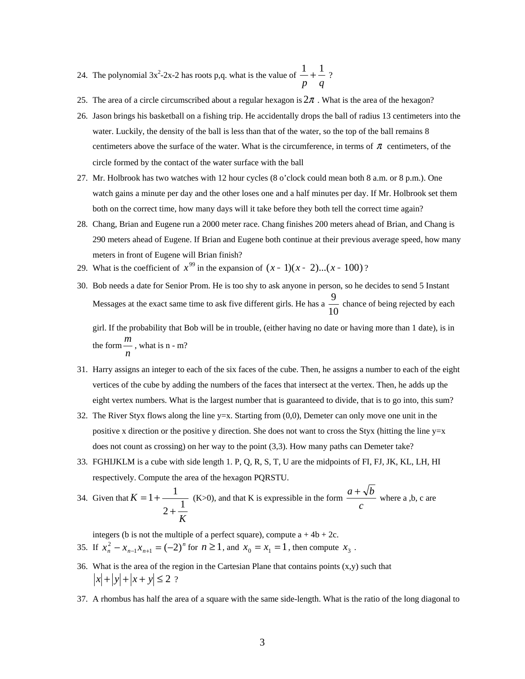- 24. The polynomial  $3x^2-2x-2$  has roots p,q. what is the value of  $\frac{1}{p} + \frac{1}{q}$  $\frac{1}{-} + \frac{1}{-}$  ?
- 25. The area of a circle circumscribed about a regular hexagon is  $2\pi$ . What is the area of the hexagon?
- 26. Jason brings his basketball on a fishing trip. He accidentally drops the ball of radius 13 centimeters into the water. Luckily, the density of the ball is less than that of the water, so the top of the ball remains 8 centimeters above the surface of the water. What is the circumference, in terms of  $\pi$  centimeters, of the circle formed by the contact of the water surface with the ball
- 27. Mr. Holbrook has two watches with 12 hour cycles (8 o'clock could mean both 8 a.m. or 8 p.m.). One watch gains a minute per day and the other loses one and a half minutes per day. If Mr. Holbrook set them both on the correct time, how many days will it take before they both tell the correct time again?
- 28. Chang, Brian and Eugene run a 2000 meter race. Chang finishes 200 meters ahead of Brian, and Chang is 290 meters ahead of Eugene. If Brian and Eugene both continue at their previous average speed, how many meters in front of Eugene will Brian finish?
- 29. What is the coefficient of  $x^{99}$  in the expansion of  $(x 1)(x 2)...(x 100)$ ?
- 30. Bob needs a date for Senior Prom. He is too shy to ask anyone in person, so he decides to send 5 Instant Messages at the exact same time to ask five different girls. He has a  $\frac{1}{10}$ 9<br>
chance of being rejected by each

girl. If the probability that Bob will be in trouble, (either having no date or having more than 1 date), is in the form  $\frac{n}{n}$ *m* , what is n - m?

- 31. Harry assigns an integer to each of the six faces of the cube. Then, he assigns a number to each of the eight vertices of the cube by adding the numbers of the faces that intersect at the vertex. Then, he adds up the eight vertex numbers. What is the largest number that is guaranteed to divide, that is to go into, this sum?
- 32. The River Styx flows along the line  $y=x$ . Starting from  $(0,0)$ , Demeter can only move one unit in the positive x direction or the positive y direction. She does not want to cross the Styx (hitting the line  $y=x$ does not count as crossing) on her way to the point (3,3). How many paths can Demeter take?
- 33. FGHIJKLM is a cube with side length 1. P, Q, R, S, T, U are the midpoints of FI, FJ, JK, KL, LH, HI respectively. Compute the area of the hexagon PQRSTU.  $\overline{ }$

34. Given that 
$$
K = 1 + \frac{1}{2 + \frac{1}{K}}
$$
 (K>0), and that K is expressible in the form  $\frac{a + \sqrt{b}}{c}$  where a, b, c are

integers (b is not the multiple of a perfect square), compute  $a + 4b + 2c$ .

- 35. If  $x_n^2 x_{n-1}x_{n+1} = (-2)^n$  for  $n \ge 1$ , and  $x_0 = x_1 = 1$ , then compute  $x_3$ .
- 36. What is the area of the region in the Cartesian Plane that contains points  $(x,y)$  such that  $|x| + |y| + |x + y| \le 2$  ?
- 37. A rhombus has half the area of a square with the same side-length. What is the ratio of the long diagonal to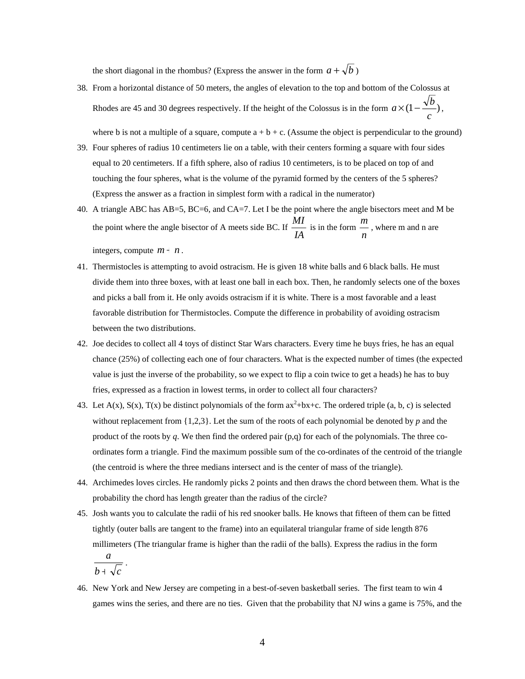the short diagonal in the rhombus? (Express the answer in the form  $a + \sqrt{b}$ )

38. From a horizontal distance of 50 meters, the angles of elevation to the top and bottom of the Colossus at Rhodes are 45 and 30 degrees respectively. If the height of the Colossus is in the form  $a \times (1 - \frac{\sqrt{b}}{2})$ *c*  $a \times (1 - \frac{\sqrt{b}}{\cdot}),$ 

where b is not a multiple of a square, compute  $a + b + c$ . (Assume the object is perpendicular to the ground)

- 39. Four spheres of radius 10 centimeters lie on a table, with their centers forming a square with four sides equal to 20 centimeters. If a fifth sphere, also of radius 10 centimeters, is to be placed on top of and touching the four spheres, what is the volume of the pyramid formed by the centers of the 5 spheres? (Express the answer as a fraction in simplest form with a radical in the numerator)
- 40. A triangle ABC has AB=5, BC=6, and CA=7. Let I be the point where the angle bisectors meet and M be the point where the angle bisector of A meets side BC. If *IA*  $\frac{MI}{IA}$  is in the form  $\frac{m}{n}$ *<sup>m</sup>* , where m and n are integers, compute  $m + n$ .
- 41. Thermistocles is attempting to avoid ostracism. He is given 18 white balls and 6 black balls. He must divide them into three boxes, with at least one ball in each box. Then, he randomly selects one of the boxes and picks a ball from it. He only avoids ostracism if it is white. There is a most favorable and a least favorable distribution for Thermistocles. Compute the difference in probability of avoiding ostracism between the two distributions.
- 42. Joe decides to collect all 4 toys of distinct Star Wars characters. Every time he buys fries, he has an equal chance (25%) of collecting each one of four characters. What is the expected number of times (the expected value is just the inverse of the probability, so we expect to flip a coin twice to get a heads) he has to buy fries, expressed as a fraction in lowest terms, in order to collect all four characters?
- 43. Let  $A(x)$ ,  $S(x)$ ,  $T(x)$  be distinct polynomials of the form  $ax^2+bx+c$ . The ordered triple (a, b, c) is selected without replacement from {1,2,3}. Let the sum of the roots of each polynomial be denoted by *p* and the product of the roots by *q*. We then find the ordered pair (p,q) for each of the polynomials. The three coordinates form a triangle. Find the maximum possible sum of the co-ordinates of the centroid of the triangle (the centroid is where the three medians intersect and is the center of mass of the triangle).
- 44. Archimedes loves circles. He randomly picks 2 points and then draws the chord between them. What is the probability the chord has length greater than the radius of the circle?
- 45. Josh wants you to calculate the radii of his red snooker balls. He knows that fifteen of them can be fitted tightly (outer balls are tangent to the frame) into an equilateral triangular frame of side length 876 millimeters (The triangular frame is higher than the radii of the balls). Express the radius in the form  $b \text{+} \sqrt{c}$ *a*  $\frac{a}{1+\sqrt{c}}$ .
- 46. New York and New Jersey are competing in a best-of-seven basketball series. The first team to win 4 games wins the series, and there are no ties. Given that the probability that NJ wins a game is 75%, and the